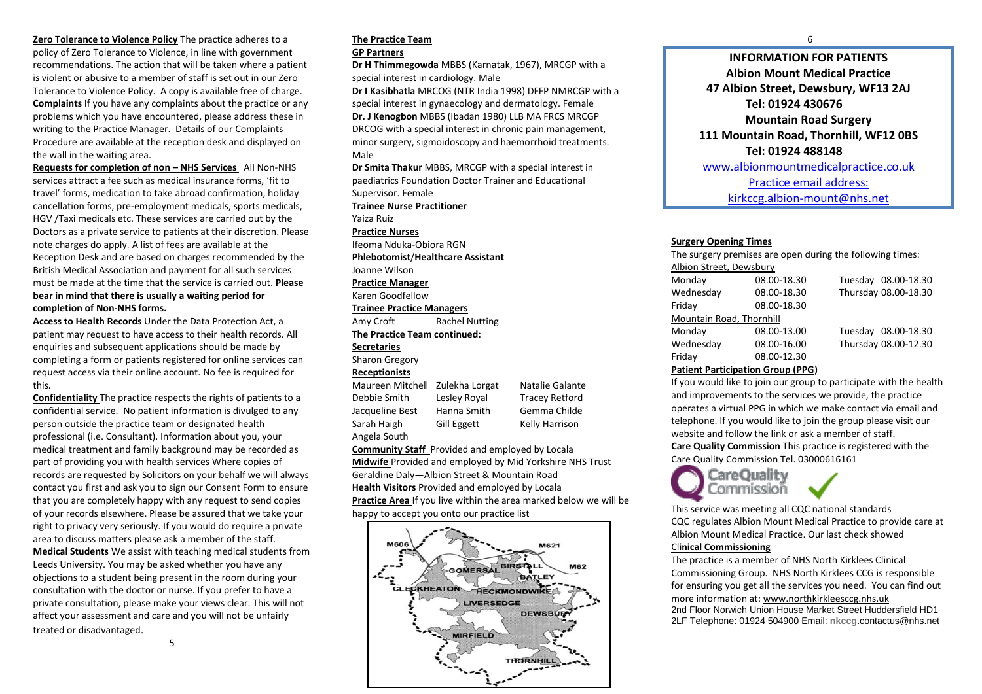**Zero Tolerance to Violence Policy** The practice adheres to a policy of Zero Tolerance to Violence, in line with government recommendations. The action that will be taken where a patient is violent or abusive to a member of staff is set out in our Zero Tolerance to Violence Policy. A copy is available free of charge. **Complaints** If you have any complaints about the practice or any problems which you have encountered, please address these in writing to the Practice Manager. Details of our Complaints Procedure are available at the reception desk and displayed on the wall in the waiting area.

**Requests for completion of non – NHS Services** All Non-NHS services attract a fee such as medical insurance forms, 'fit to travel' forms, medication to take abroad confirmation, holiday cancellation forms, pre-employment medicals, sports medicals, HGV /Taxi medicals etc. These services are carried out by the Doctors as a private service to patients at their discretion. Please note charges do apply. A list of fees are available at the Reception Desk and are based on charges recommended by the British Medical Association and payment for all such services must be made at the time that the service is carried out. **Please bear in mind that there is usually a waiting period for completion of Non-NHS forms.**

**Access to Health Records** Under the Data Protection Act, a patient may request to have access to their health records. All enquiries and subsequent applications should be made by completing a form or patients registered for online services can request access via their online account. No fee is required for this.

**Confidentiality** The practice respects the rights of patients to a confidential service. No patient information is divulged to any person outside the practice team or designated health professional (i.e. Consultant). Information about you, your medical treatment and family background may be recorded as part of providing you with health services Where copies of records are requested by Solicitors on your behalf we will always contact you first and ask you to sign our Consent Form to ensure that you are completely happy with any request to send copies of your records elsewhere. Please be assured that we take your right to privacy very seriously. If you would do require a private area to discuss matters please ask a member of the staff. **Medical Students** We assist with teaching medical students from Leeds University. You may be asked whether you have any objections to a student being present in the room during your consultation with the doctor or nurse. If you prefer to have a private consultation, please make your views clear. This will not affect your assessment and care and you will not be unfairly treated or disadvantaged.

# **The Practice Team**

#### **GP Partners**

**Dr H Thimmegowda** MBBS (Karnatak, 1967), MRCGP with a special interest in cardiology. Male

**Dr I Kasibhatla** MRCOG (NTR India 1998) DFFP NMRCGP with a special interest in gynaecology and dermatology. Female **Dr. J Kenogbon** MBBS (Ibadan 1980) LLB MA FRCS MRCGP DRCOG with a special interest in chronic pain management, minor surgery, sigmoidoscopy and haemorrhoid treatments. Male

**Dr Smita Thakur** MBBS, MRCGP with a special interest in paediatrics Foundation Doctor Trainer and Educational Supervisor. Female

**Trainee Nurse Practitioner**

Yaiza Ruiz

**Practice Nurses**

Ifeoma Nduka-Obiora RGN **Phlebotomist**/**Healthcare Assistant**

Joanne Wilson

**Practice Manager** 

Karen Goodfellow

# **Trainee Practice Managers**

Amy Croft Rachel Nutting **The Practice Team continued:**

# **Secretaries**

Sharon Gregory

**Receptionists**

Maureen Mitchell Zulekha Lorgat Natalie Galante Debbie Smith Lesley Royal Tracey Retford Jacqueline Best Hanna Smith Gemma Childe Sarah Haigh Gill Eggett Kelly Harrison

Angela South

**Community Staff** Provided and employed by Locala **Midwife** Provided and employed by Mid Yorkshire NHS Trust Geraldine Daly—Albion Street & Mountain Road **Health Visitors** Provided and employed by Locala **Practice Area** If you live within the area marked below we will be happy to accept you onto our practice list



# **INFORMATION FOR PATIENTS Albion Mount Medical Practice 47 Albion Street, Dewsbury, WF13 2AJ Tel: 01924 430676 Mountain Road Surgery 111 Mountain Road, Thornhill, WF12 0BS Tel: 01924 488148** [www.albionmountmedicalpractice.co.uk](http://www.albionmountmedicalpractice.co.uk/) Practice email address: kirkccg.albion-mount@nhs.net

### **Surgery Opening Times**

The surgery premises are open during the following times:

| Albion Street, Dewsbury  |             |                      |
|--------------------------|-------------|----------------------|
| Monday                   | 08.00-18.30 | Tuesday 08.00-18.30  |
| Wednesday                | 08.00-18.30 | Thursday 08.00-18.30 |
| Friday                   | 08.00-18.30 |                      |
| Mountain Road, Thornhill |             |                      |
| Monday                   | 08.00-13.00 | Tuesday 08.00-18.30  |
| Wednesday                | 08.00-16.00 | Thursday 08.00-12.30 |
| Friday                   | 08.00-12.30 |                      |

## **Patient Participation Group (PPG)**

If you would like to join our group to participate with the health and improvements to the services we provide, the practice operates a virtual PPG in which we make contact via email and telephone. If you would like to join the group please visit our website and follow the link or ask a member of staff.

**Care Quality Commission** This practice is registered with the Care Quality Commission Tel. 03000616161

CareOuality Commission This service was meeting all CQC national standards

CQC regulates Albion Mount Medical Practice to provide care at Albion Mount Medical Practice. Our last check showed Cl**inical Commissioning**

The practice is a member of NHS North Kirklees Clinical Commissioning Group. NHS North Kirklees CCG is responsible for ensuring you get all the services you need. You can find out more information at[: www.northkirkleesccg.nhs.uk](http://www.northkirkleesccg.nhs.uk/) 2nd Floor Norwich Union House Market Street Huddersfield HD1

2LF Telephone: 01924 504900 Email: **nkccg**.contactus@nhs.net